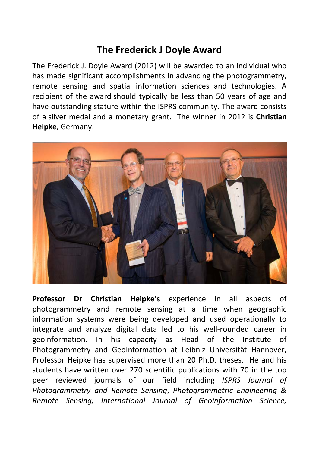## **The Frederick J Doyle Award**

The Frederick J. Doyle Award (2012) will be awarded to an individual who has made significant accomplishments in advancing the photogrammetry, remote sensing and spatial information sciences and technologies. A recipient of the award should typically be less than 50 years of age and have outstanding stature within the ISPRS community. The award consists of a silver medal and a monetary grant. The winner in 2012 is **Christian Heipke**, Germany.



**Professor Dr Christian Heipke's** experience in all aspects of photogrammetry and remote sensing at a time when geographic information systems were being developed and used operationally to integrate and analyze digital data led to his well-rounded career in geoinformation. In his capacity as Head of the Institute of Photogrammetry and GeoInformation at Leibniz Universität Hannover, Professor Heipke has supervised more than 20 Ph.D. theses. He and his students have written over 270 scientific publications with 70 in the top peer reviewed journals of our field including *ISPRS Journal of Photogrammetry and Remote Sensing*, *Photogrammetric Engineering & Remote Sensing, International Journal of Geoinformation Science,*